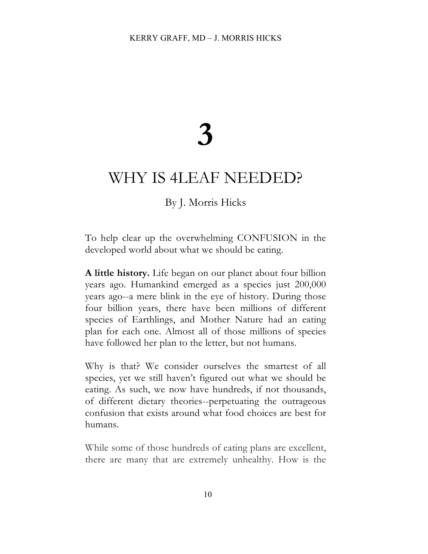# **3**

## WHY IS 4LEAF NEEDED?

### By J. Morris Hicks

To help clear up the overwhelming CONFUSION in the developed world about what we should be eating.

**A little history.** Life began on our planet about four billion years ago. Humankind emerged as a species just 200,000 years ago--a mere blink in the eye of history. During those four billion years, there have been millions of different species of Earthlings, and Mother Nature had an eating plan for each one. Almost all of those millions of species have followed her plan to the letter, but not humans.

Why is that? We consider ourselves the smartest of all species, yet we still haven't figured out what we should be eating. As such, we now have hundreds, if not thousands, of different dietary theories--perpetuating the outrageous confusion that exists around what food choices are best for humans.

While some of those hundreds of eating plans are excellent, there are many that are extremely unhealthy. How is the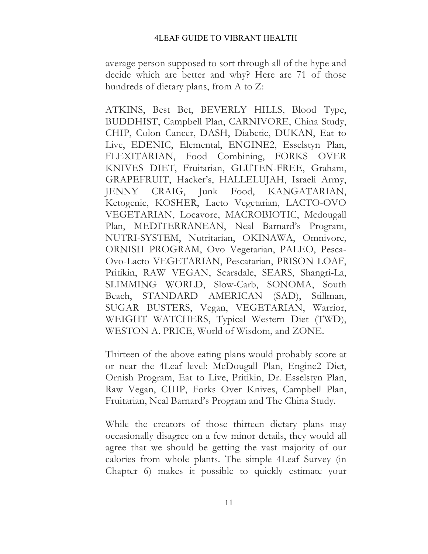#### 4LEAF GUIDE TO VIBRANT HEALTH

average person supposed to sort through all of the hype and decide which are better and why? Here are 71 of those hundreds of dietary plans, from A to Z:

ATKINS, Best Bet, BEVERLY HILLS, Blood Type, BUDDHIST, Campbell Plan, CARNIVORE, China Study, CHIP, Colon Cancer, DASH, Diabetic, DUKAN, Eat to Live, EDENIC, Elemental, ENGINE2, Esselstyn Plan, FLEXITARIAN, Food Combining, FORKS OVER KNIVES DIET, Fruitarian, GLUTEN-FREE, Graham, GRAPEFRUIT, Hacker's, HALLELUJAH, Israeli Army, JENNY CRAIG, Junk Food, KANGATARIAN, Ketogenic, KOSHER, Lacto Vegetarian, LACTO-OVO VEGETARIAN, Locavore, MACROBIOTIC, Mcdougall Plan, MEDITERRANEAN, Neal Barnard's Program, NUTRI-SYSTEM, Nutritarian, OKINAWA, Omnivore, ORNISH PROGRAM, Ovo Vegetarian, PALEO, Pesca-Ovo-Lacto VEGETARIAN, Pescatarian, PRISON LOAF, Pritikin, RAW VEGAN, Scarsdale, SEARS, Shangri-La, SLIMMING WORLD, Slow-Carb, SONOMA, South Beach, STANDARD AMERICAN (SAD), Stillman, SUGAR BUSTERS, Vegan, VEGETARIAN, Warrior, WEIGHT WATCHERS, Typical Western Diet (TWD), WESTON A. PRICE, World of Wisdom, and ZONE.

Thirteen of the above eating plans would probably score at or near the 4Leaf level: McDougall Plan, Engine2 Diet, Ornish Program, Eat to Live, Pritikin, Dr. Esselstyn Plan, Raw Vegan, CHIP, Forks Over Knives, Campbell Plan, Fruitarian, Neal Barnard's Program and The China Study.

While the creators of those thirteen dietary plans may occasionally disagree on a few minor details, they would all agree that we should be getting the vast majority of our calories from whole plants. The simple 4Leaf Survey (in Chapter 6) makes it possible to quickly estimate your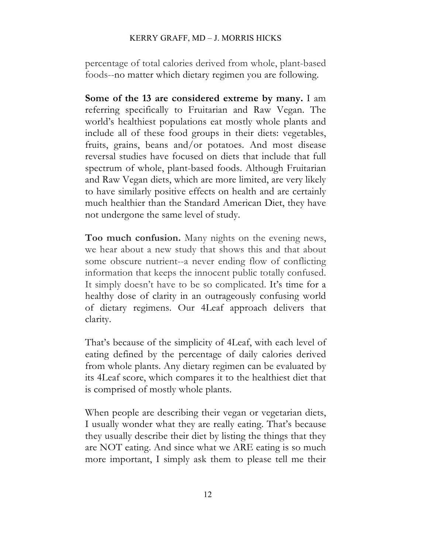#### KERRY GRAFF, MD – J. MORRIS HICKS

percentage of total calories derived from whole, plant-based foods--no matter which dietary regimen you are following.

**Some of the 13 are considered extreme by many.** I am referring specifically to Fruitarian and Raw Vegan. The world's healthiest populations eat mostly whole plants and include all of these food groups in their diets: vegetables, fruits, grains, beans and/or potatoes. And most disease reversal studies have focused on diets that include that full spectrum of whole, plant-based foods. Although Fruitarian and Raw Vegan diets, which are more limited, are very likely to have similarly positive effects on health and are certainly much healthier than the Standard American Diet, they have not undergone the same level of study.

**Too much confusion.** Many nights on the evening news, we hear about a new study that shows this and that about some obscure nutrient--a never ending flow of conflicting information that keeps the innocent public totally confused. It simply doesn't have to be so complicated. It's time for a healthy dose of clarity in an outrageously confusing world of dietary regimens. Our 4Leaf approach delivers that clarity.

That's because of the simplicity of 4Leaf, with each level of eating defined by the percentage of daily calories derived from whole plants. Any dietary regimen can be evaluated by its 4Leaf score, which compares it to the healthiest diet that is comprised of mostly whole plants.

When people are describing their vegan or vegetarian diets, I usually wonder what they are really eating. That's because they usually describe their diet by listing the things that they are NOT eating. And since what we ARE eating is so much more important, I simply ask them to please tell me their